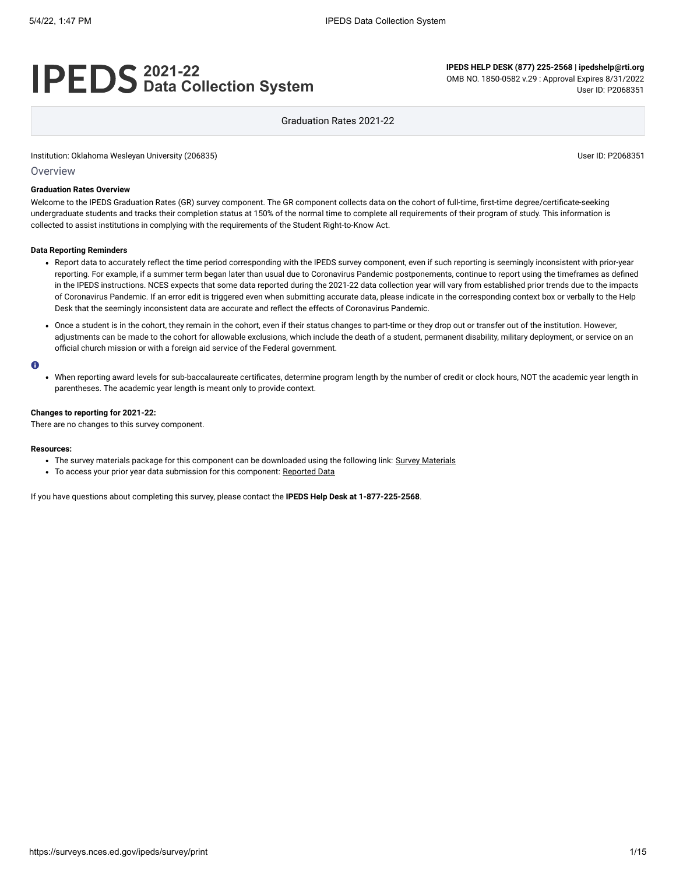# **2021-22 Data Collection System**

**IPEDS HELP DESK (877) 225-2568 | ipedshelp@rti.org** OMB NO. 1850-0582 v.29 : Approval Expires 8/31/2022 User ID: P2068351

Graduation Rates 2021-22

Institution: Oklahoma Wesleyan University (206835) **Distribution: Contact State Information:** User ID: P2068351

Overview

### **Graduation Rates Overview**

Welcome to the IPEDS Graduation Rates (GR) survey component. The GR component collects data on the cohort of full-time, first-time degree/certificate-seeking undergraduate students and tracks their completion status at 150% of the normal time to complete all requirements of their program of study. This information is collected to assist institutions in complying with the requirements of the Student Right-to-Know Act.

#### **Data Reporting Reminders**

- Report data to accurately reflect the time period corresponding with the IPEDS survey component, even if such reporting is seemingly inconsistent with prior-year reporting. For example, if a summer term began later than usual due to Coronavirus Pandemic postponements, continue to report using the timeframes as defined in the IPEDS instructions. NCES expects that some data reported during the 2021-22 data collection year will vary from established prior trends due to the impacts of Coronavirus Pandemic. If an error edit is triggered even when submitting accurate data, please indicate in the corresponding context box or verbally to the Help Desk that the seemingly inconsistent data are accurate and reflect the effects of Coronavirus Pandemic.
- Once a student is in the cohort, they remain in the cohort, even if their status changes to part-time or they drop out or transfer out of the institution. However, adjustments can be made to the cohort for allowable exclusions, which include the death of a student, permanent disability, military deployment, or service on an official church mission or with a foreign aid service of the Federal government.

#### $\bullet$

When reporting award levels for sub-baccalaureate certificates, determine program length by the number of credit or clock hours, NOT the academic year length in parentheses. The academic year length is meant only to provide context.

#### **Changes to reporting for 2021-22:**

There are no changes to this survey component.

#### **Resources:**

- The survey materials package for this component can be downloaded using the following link: Survey [Materials](https://surveys.nces.ed.gov/ipeds/public/survey-materials/index)
- To access your prior year data submission for this component: [Reported Data](javascript:openReportedData(206835, 4))

If you have questions about completing this survey, please contact the **IPEDS Help Desk at 1-877-225-2568**.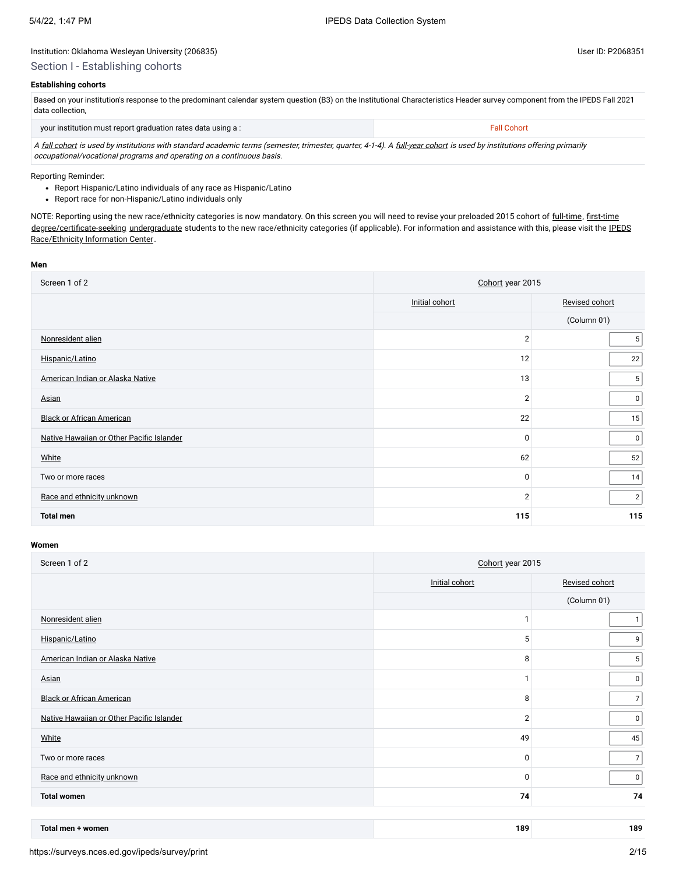# Section I - Establishing cohorts

# **Establishing cohorts**

Based on your institution's response to the predominant calendar system question (B3) on the Institutional Characteristics Header survey component from the IPEDS Fall 2021 data collection,

| your institution must report graduation rates data using a:                                                                                                             | <b>Fall Cohort</b> |
|-------------------------------------------------------------------------------------------------------------------------------------------------------------------------|--------------------|
| A fall cohort is used by institutions with standard academic terms (semester, trimester, quarter, 4-1-4). A full-year cohort is used by institutions offering primarily |                    |

occupational/vocational programs and operating on a continuous basis.

Reporting Reminder:

- Report Hispanic/Latino individuals of any race as Hispanic/Latino
- Report race for non-Hispanic/Latino individuals only

NOTE: Reporting using the new race/ethnicity categories is now mandatory. On this screen you will need to revise your preloaded 2015 cohort of [full-time](javascript:openglossary(259)), [first-time](javascript:openglossary(241)) [degree/certificate-seeking](javascript:openglossary(171)) [undergraduate](javascript:openglossary(677)) students to the new race/ethnicity categories (if applicable). For [information and assistance with](https://nces.ed.gov/ipeds/report-your-data/resource-center-race-ethnicity) this, please visit the IPEDS Race/Ethnicity Information Center.

#### **Men**

| Screen 1 of 2                             | Cohort year 2015 |                |  |
|-------------------------------------------|------------------|----------------|--|
|                                           | Initial cohort   | Revised cohort |  |
|                                           |                  | (Column 01)    |  |
| Nonresident alien                         | $\overline{2}$   | 5 <sup>1</sup> |  |
| Hispanic/Latino                           | 12               | 22             |  |
| American Indian or Alaska Native          | 13               | 5 <sup>5</sup> |  |
| Asian                                     | $\overline{2}$   | $\mathbf 0$    |  |
| <b>Black or African American</b>          | 22               | 15             |  |
| Native Hawaiian or Other Pacific Islander | $\mathbf 0$      | $\overline{0}$ |  |
| White                                     | 62               | 52             |  |
| Two or more races                         | 0                | 14             |  |
| Race and ethnicity unknown                | $\overline{2}$   | $\overline{2}$ |  |
| <b>Total men</b>                          | 115              | 115            |  |

| Screen 1 of 2                             | Cohort year 2015 |                |  |
|-------------------------------------------|------------------|----------------|--|
|                                           | Initial cohort   | Revised cohort |  |
|                                           |                  | (Column 01)    |  |
| Nonresident alien                         | ٠                | 1              |  |
| Hispanic/Latino                           | 5                | 9              |  |
| American Indian or Alaska Native          | 8                | 5              |  |
| Asian                                     | 1                | $\overline{0}$ |  |
| <b>Black or African American</b>          | 8                | 7              |  |
| Native Hawaiian or Other Pacific Islander | $\overline{2}$   | $\mathbf 0$    |  |
| White                                     | 49               | 45             |  |
| Two or more races                         | $\mathbf{0}$     | 7 <sup>1</sup> |  |
| Race and ethnicity unknown                | $\mathbf 0$      | 0 <sup>1</sup> |  |
| <b>Total women</b>                        | 74               | 74             |  |
|                                           |                  |                |  |

| Total men<br>· women | 189 | 189 |
|----------------------|-----|-----|
|                      |     |     |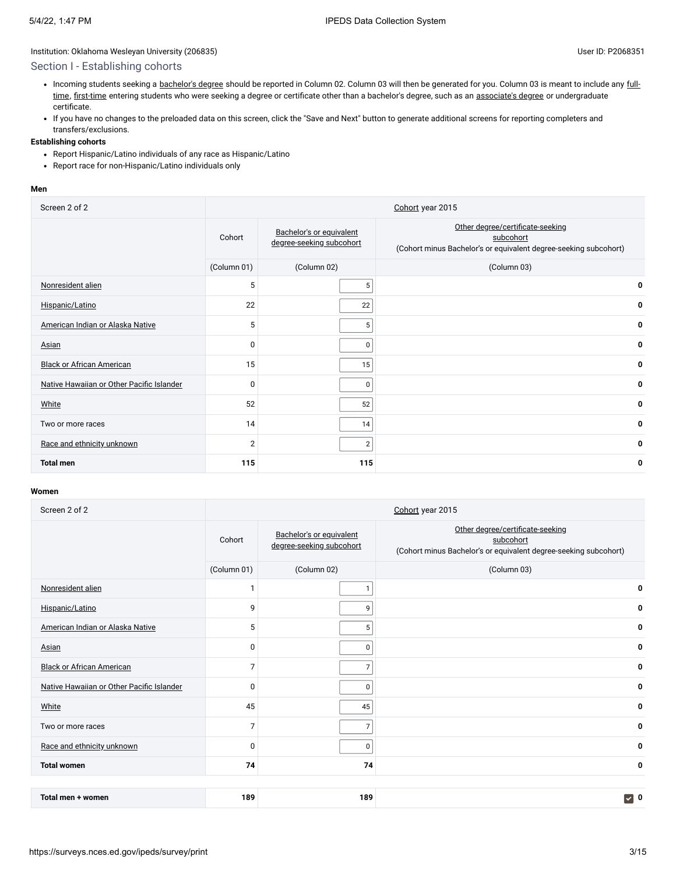# Section I - Establishing cohorts

- Incoming students seeking a [bachelor's](javascript:openglossary(77)) degree [should be reported in Column 02.](javascript:openglossary(259)) Column 03 will then be generated for you. Column 03 is meant to include any fulltime, [first-time](javascript:openglossary(241)) entering students who were seeking a degree or certificate other than a bachelor's degree, such as an [associate's](javascript:openglossary(55)) degree or undergraduate certificate.
- If you have no changes to the preloaded data on this screen, click the "Save and Next" button to generate additional screens for reporting completers and transfers/exclusions.

# **Establishing cohorts**

- Report Hispanic/Latino individuals of any race as Hispanic/Latino
- Report race for non-Hispanic/Latino individuals only

### **Men**

| Screen 2 of 2                             |                |                                                      | Cohort year 2015                                                                                                  |
|-------------------------------------------|----------------|------------------------------------------------------|-------------------------------------------------------------------------------------------------------------------|
|                                           | Cohort         | Bachelor's or equivalent<br>degree-seeking subcohort | Other degree/certificate-seeking<br>subcohort<br>(Cohort minus Bachelor's or equivalent degree-seeking subcohort) |
|                                           | (Column 01)    | (Column 02)                                          | (Column 03)                                                                                                       |
| Nonresident alien                         | 5              | 5                                                    | 0                                                                                                                 |
| Hispanic/Latino                           | 22             | 22                                                   | 0                                                                                                                 |
| American Indian or Alaska Native          | 5              | 5                                                    | 0                                                                                                                 |
| <b>Asian</b>                              | $\Omega$       | 0                                                    | 0                                                                                                                 |
| <b>Black or African American</b>          | 15             | 15                                                   | 0                                                                                                                 |
| Native Hawaiian or Other Pacific Islander | $\Omega$       | 0                                                    | 0                                                                                                                 |
| White                                     | 52             | 52                                                   | 0                                                                                                                 |
| Two or more races                         | 14             | 14                                                   | 0                                                                                                                 |
| Race and ethnicity unknown                | $\overline{2}$ | $\overline{2}$                                       | 0                                                                                                                 |
| <b>Total men</b>                          | 115            | 115                                                  | 0                                                                                                                 |

| Screen 2 of 2                             |                |                                                      | Cohort year 2015                                                                                                  |
|-------------------------------------------|----------------|------------------------------------------------------|-------------------------------------------------------------------------------------------------------------------|
|                                           | Cohort         | Bachelor's or equivalent<br>degree-seeking subcohort | Other degree/certificate-seeking<br>subcohort<br>(Cohort minus Bachelor's or equivalent degree-seeking subcohort) |
|                                           | (Column 01)    | (Column 02)                                          | (Column 03)                                                                                                       |
| Nonresident alien                         | h              |                                                      | 0                                                                                                                 |
| Hispanic/Latino                           | 9              | 9                                                    | 0                                                                                                                 |
| American Indian or Alaska Native          | 5              | 5                                                    | 0                                                                                                                 |
| Asian                                     | $\mathbf 0$    | $\mathbf 0$                                          | 0                                                                                                                 |
| <b>Black or African American</b>          | $\overline{7}$ | $\overline{7}$                                       | 0                                                                                                                 |
| Native Hawaiian or Other Pacific Islander | $\Omega$       | 0                                                    | 0                                                                                                                 |
| White                                     | 45             | 45                                                   | 0                                                                                                                 |
| Two or more races                         | $\overline{7}$ | $\overline{7}$                                       | 0                                                                                                                 |
| Race and ethnicity unknown                | $\Omega$       | 0                                                    | 0                                                                                                                 |
| <b>Total women</b>                        | 74             | 74                                                   | 0                                                                                                                 |
|                                           |                |                                                      |                                                                                                                   |
| Total men + women                         | 189            | 189                                                  | $\triangledown$ 0                                                                                                 |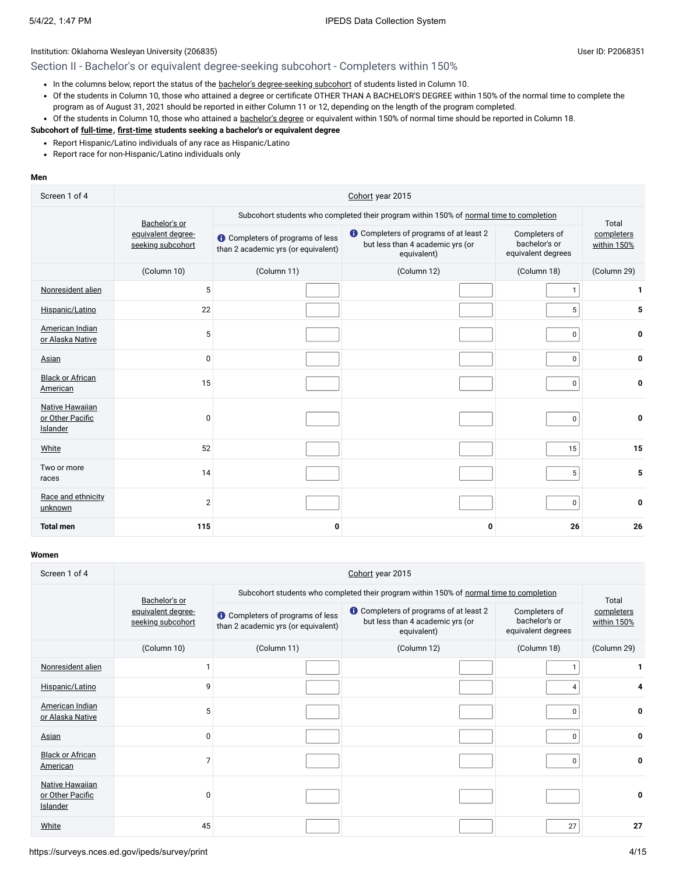# Section II - Bachelor's or equivalent degree-seeking subcohort - Completers within 150%

- In the columns below, report the status of the bachelor's [degree-seeking](javascript:openglossary(79)) subcohort of students listed in Column 10.
- Of the students in Column 10, those who attained a degree or certificate OTHER THAN A BACHELOR'S DEGREE within 150% of the normal time to complete the program as of August 31, 2021 should be reported in either Column 11 or 12, depending on the length of the program completed.
- Of the students in Column 10, those who attained a [bachelor's](javascript:openglossary(77)) degree or equivalent within 150% of normal time should be reported in Column 18.

## **Subcohort of [full-time](javascript:openglossary(259)), [first-time](javascript:openglossary(241)) students seeking a bachelor's or equivalent degree**

- Report Hispanic/Latino individuals of any race as Hispanic/Latino
- Report race for non-Hispanic/Latino individuals only

### **Men**

| Screen 1 of 4                                                 | Cohort year 2015                        |                                                                                         |                                                                                         |                                                      |                                    |  |
|---------------------------------------------------------------|-----------------------------------------|-----------------------------------------------------------------------------------------|-----------------------------------------------------------------------------------------|------------------------------------------------------|------------------------------------|--|
|                                                               | Bachelor's or                           | Subcohort students who completed their program within 150% of normal time to completion |                                                                                         |                                                      |                                    |  |
|                                                               | equivalent degree-<br>seeking subcohort | <b>O</b> Completers of programs of less<br>than 2 academic yrs (or equivalent)          | Completers of programs of at least 2<br>but less than 4 academic yrs (or<br>equivalent) | Completers of<br>bachelor's or<br>equivalent degrees | Total<br>completers<br>within 150% |  |
|                                                               | (Column 10)                             | (Column 11)                                                                             | (Column 12)                                                                             | (Column 18)                                          | (Column 29)                        |  |
| Nonresident alien                                             | 5                                       |                                                                                         |                                                                                         | $\mathbf{1}$                                         | 1                                  |  |
| Hispanic/Latino                                               | 22                                      |                                                                                         |                                                                                         | 5                                                    | 5                                  |  |
| American Indian<br>or Alaska Native                           | 5                                       |                                                                                         |                                                                                         | 0                                                    | 0                                  |  |
| Asian                                                         | $\mathbf{0}$                            |                                                                                         |                                                                                         | 0                                                    | 0                                  |  |
| <b>Black or African</b><br>American                           | 15                                      |                                                                                         |                                                                                         | 0                                                    | 0                                  |  |
| <b>Native Hawaiian</b><br>or Other Pacific<br><b>Islander</b> | $\Omega$                                |                                                                                         |                                                                                         | 0                                                    | 0                                  |  |
| White                                                         | 52                                      |                                                                                         |                                                                                         | 15                                                   | 15                                 |  |
| Two or more<br>races                                          | 14                                      |                                                                                         |                                                                                         | 5                                                    | 5                                  |  |
| Race and ethnicity<br>unknown                                 | $\overline{2}$                          |                                                                                         |                                                                                         | 0                                                    | 0                                  |  |
| <b>Total men</b>                                              | 115                                     | 0                                                                                       | 0                                                                                       | 26                                                   | 26                                 |  |

| Screen 1 of 4                                          | Cohort year 2015                        |                                                                                |                                                                                                  |                                                      |                           |  |
|--------------------------------------------------------|-----------------------------------------|--------------------------------------------------------------------------------|--------------------------------------------------------------------------------------------------|------------------------------------------------------|---------------------------|--|
|                                                        | Bachelor's or                           |                                                                                | Subcohort students who completed their program within 150% of normal time to completion          |                                                      | Total                     |  |
|                                                        | equivalent degree-<br>seeking subcohort | <b>O</b> Completers of programs of less<br>than 2 academic yrs (or equivalent) | <b>O</b> Completers of programs of at least 2<br>but less than 4 academic yrs (or<br>equivalent) | Completers of<br>bachelor's or<br>equivalent degrees | completers<br>within 150% |  |
|                                                        | (Column 10)                             | (Column 11)                                                                    | (Column 12)                                                                                      | (Column 18)                                          | (Column 29)               |  |
| Nonresident alien                                      |                                         |                                                                                |                                                                                                  |                                                      | 1.                        |  |
| Hispanic/Latino                                        | 9                                       |                                                                                |                                                                                                  | 4                                                    |                           |  |
| American Indian<br>or Alaska Native                    | 5                                       |                                                                                |                                                                                                  | 0                                                    | 0                         |  |
| Asian                                                  | 0                                       |                                                                                |                                                                                                  | 0                                                    | 0                         |  |
| <b>Black or African</b><br>American                    | $\overline{7}$                          |                                                                                |                                                                                                  | 0                                                    | 0                         |  |
| <b>Native Hawaiian</b><br>or Other Pacific<br>Islander | 0                                       |                                                                                |                                                                                                  |                                                      | 0                         |  |
| White                                                  | 45                                      |                                                                                |                                                                                                  | 27                                                   | 27                        |  |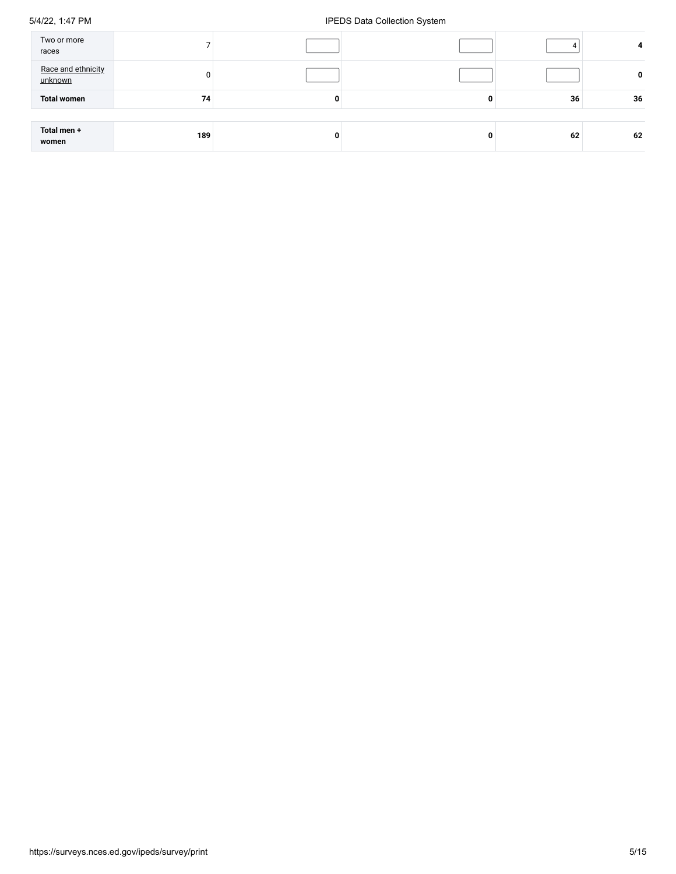# 5/4/22, 1:47 PM **IPEDS** Data Collection System

| Two or more<br>races          |     |   |    | 4  |
|-------------------------------|-----|---|----|----|
| Race and ethnicity<br>unknown |     |   |    | 0  |
| <b>Total women</b>            | 74  | 0 | 36 | 36 |
|                               |     |   |    |    |
| Total men +<br>women          | 189 | 0 | 62 | 62 |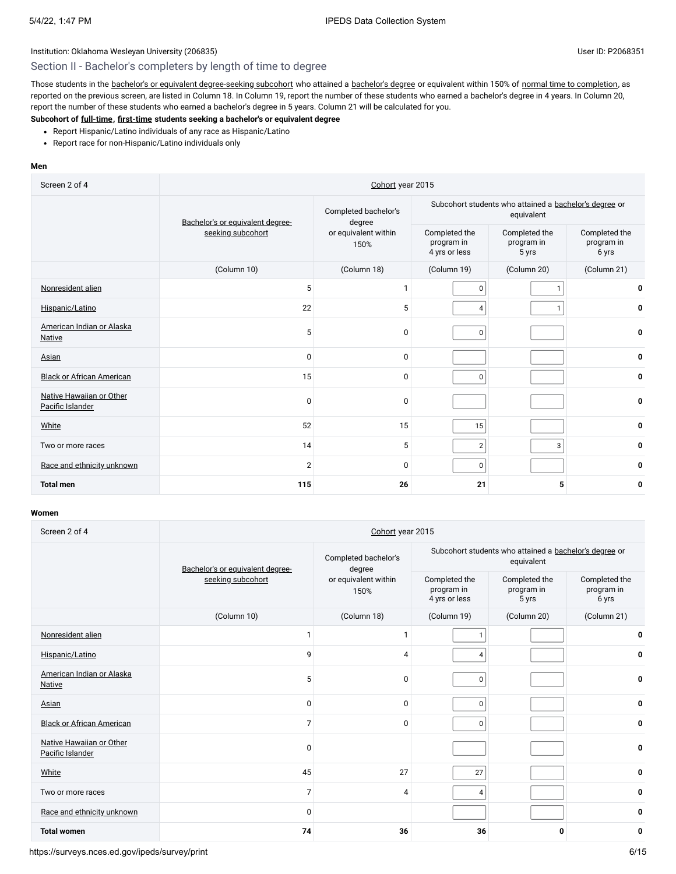# Section II - Bachelor's completers by length of time to degree

Those students in the bachelor's or equivalent [degree-seeking](javascript:openglossary(79)) subcohort who attained a [bachelor's](javascript:openglossary(77)) degree or equivalent within 150% of normal time to [completion,](javascript:openglossary(421)) as reported on the previous screen, are listed in Column 18. In Column 19, report the number of these students who earned a bachelor's degree in 4 years. In Column 20, report the number of these students who earned a bachelor's degree in 5 years. Column 21 will be calculated for you.

# **Subcohort of [full-time](javascript:openglossary(259)), [first-time](javascript:openglossary(241)) students seeking a bachelor's or equivalent degree**

- Report Hispanic/Latino individuals of any race as Hispanic/Latino
- Report race for non-Hispanic/Latino individuals only

# **Men**

| Screen 2 of 4                                | Cohort year 2015                                      |                                |                                              |                                                                      |                                      |  |
|----------------------------------------------|-------------------------------------------------------|--------------------------------|----------------------------------------------|----------------------------------------------------------------------|--------------------------------------|--|
|                                              | Bachelor's or equivalent degree-<br>seeking subcohort | Completed bachelor's<br>degree |                                              | Subcohort students who attained a bachelor's degree or<br>equivalent |                                      |  |
|                                              |                                                       | or equivalent within<br>150%   | Completed the<br>program in<br>4 yrs or less | Completed the<br>program in<br>5 yrs                                 | Completed the<br>program in<br>6 yrs |  |
|                                              | (Column 10)                                           | (Column 18)                    | (Column 19)                                  | (Column 20)                                                          | (Column 21)                          |  |
| Nonresident alien                            | 5                                                     | $\mathbf{1}$                   | $\mathbf 0$                                  | 1                                                                    | 0                                    |  |
| Hispanic/Latino                              | 22                                                    | 5                              | $\overline{4}$                               | $\mathbf{1}$                                                         | 0                                    |  |
| American Indian or Alaska<br><b>Native</b>   | 5                                                     | 0                              | $\mathbf 0$                                  |                                                                      | 0                                    |  |
| Asian                                        | $\Omega$                                              | 0                              |                                              |                                                                      | 0                                    |  |
| <b>Black or African American</b>             | 15                                                    | 0                              | $\Omega$                                     |                                                                      | 0                                    |  |
| Native Hawaiian or Other<br>Pacific Islander | $\mathbf 0$                                           | 0                              |                                              |                                                                      | 0                                    |  |
| White                                        | 52                                                    | 15                             | 15                                           |                                                                      | 0                                    |  |
| Two or more races                            | 14                                                    | 5                              | $\overline{2}$                               | 3                                                                    | 0                                    |  |
| Race and ethnicity unknown                   | $\overline{2}$                                        | 0                              | $\mathbf 0$                                  |                                                                      | 0                                    |  |
| <b>Total men</b>                             | 115                                                   | 26                             | 21                                           | 5                                                                    | 0                                    |  |

| Screen 2 of 4                                | Cohort year 2015                 |                                |                                                                      |                                      |                                      |  |
|----------------------------------------------|----------------------------------|--------------------------------|----------------------------------------------------------------------|--------------------------------------|--------------------------------------|--|
|                                              | Bachelor's or equivalent degree- | Completed bachelor's<br>degree | Subcohort students who attained a bachelor's degree or<br>equivalent |                                      |                                      |  |
|                                              | seeking subcohort                | or equivalent within<br>150%   | Completed the<br>program in<br>4 yrs or less                         | Completed the<br>program in<br>5 yrs | Completed the<br>program in<br>6 yrs |  |
|                                              | (Column 10)                      | (Column 18)                    | (Column 19)                                                          | (Column 20)                          | (Column 21)                          |  |
| Nonresident alien                            |                                  | $\mathbf{1}$                   | $\mathbf{1}$                                                         |                                      | 0                                    |  |
| Hispanic/Latino                              | 9                                | 4                              | $\overline{4}$                                                       |                                      | $\mathbf{0}$                         |  |
| American Indian or Alaska<br><b>Native</b>   | 5                                | 0                              | $\mathbf 0$                                                          |                                      | 0                                    |  |
| Asian                                        | $\mathbf 0$                      | 0                              | $\mathbf 0$                                                          |                                      | 0                                    |  |
| <b>Black or African American</b>             | 7                                | $\Omega$                       | $\mathbf 0$                                                          |                                      | 0                                    |  |
| Native Hawaiian or Other<br>Pacific Islander | $\Omega$                         |                                |                                                                      |                                      | 0                                    |  |
| White                                        | 45                               | 27                             | 27                                                                   |                                      | $\mathbf{0}$                         |  |
| Two or more races                            | 7                                | $\overline{4}$                 | 4                                                                    |                                      | 0                                    |  |
| Race and ethnicity unknown                   | $\Omega$                         |                                |                                                                      |                                      | 0                                    |  |
| <b>Total women</b>                           | 74                               | 36                             | 36                                                                   | 0                                    | 0                                    |  |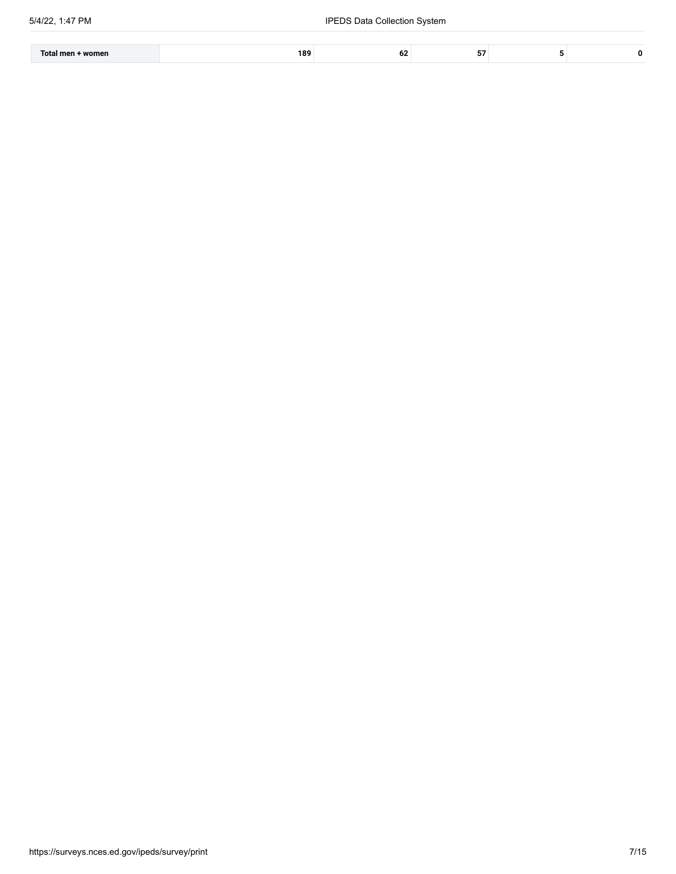| women<br>Total<br>ı men | 189<br>. . |  |  |
|-------------------------|------------|--|--|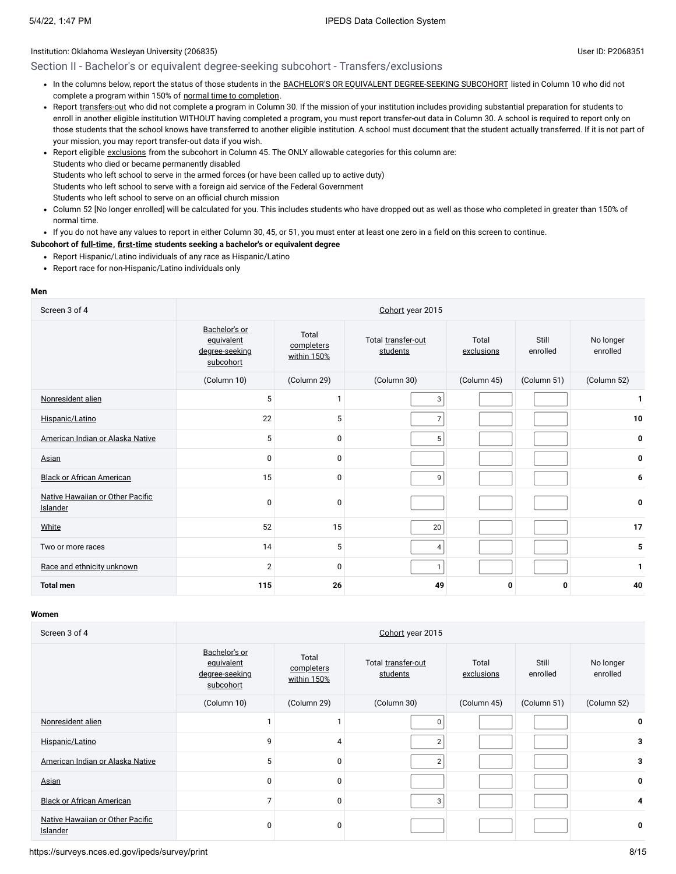# Section II - Bachelor's or equivalent degree-seeking subcohort - Transfers/exclusions

- In the columns below, report the status of those students in the BACHELOR'S OR EQUIVALENT [DEGREE-SEEKING SUBCOHORT](javascript:openglossary(79)) listed in Column 10 who did not complete a program within 150% of normal time to [completion.](javascript:openglossary(421))
- Report [transfers-out](javascript:openglossary(657)) who did not complete a program in Column 30. If the mission of your institution includes providing substantial preparation for students to enroll in another eligible institution WITHOUT having completed a program, you must report transfer-out data in Column 30. A school is required to report only on those students that the school knows have transferred to another eligible institution. A school must document that the student actually transferred. If it is not part of your mission, you may report transfer-out data if you wish.
- Report eligible [exclusions](javascript:openglossary(207)) from the subcohort in Column 45. The ONLY allowable categories for this column are: Students who died or became permanently disabled Students who left school to serve in the armed forces (or have been called up to active duty) Students who left school to serve with a foreign aid service of the Federal Government Students who left school to serve on an official church mission
- Column 52 [No longer enrolled] will be calculated for you. This includes students who have dropped out as well as those who completed in greater than 150% of normal time.
- If you do not have any values to report in either Column 30, 45, or 51, you must enter at least one zero in a field on this screen to continue.

#### **Subcohort of [full-time](javascript:openglossary(259)), [first-time](javascript:openglossary(241)) students seeking a bachelor's or equivalent degree**

- Report Hispanic/Latino individuals of any race as Hispanic/Latino
- Report race for non-Hispanic/Latino individuals only

#### **Men**

| Screen 3 of 4                                | Cohort year 2015                                           |                                    |                                |                     |                   |                       |
|----------------------------------------------|------------------------------------------------------------|------------------------------------|--------------------------------|---------------------|-------------------|-----------------------|
|                                              | Bachelor's or<br>equivalent<br>degree-seeking<br>subcohort | Total<br>completers<br>within 150% | Total transfer-out<br>students | Total<br>exclusions | Still<br>enrolled | No longer<br>enrolled |
|                                              | (Column 10)                                                | (Column 29)                        | (Column 30)                    | (Column 45)         | (Column 51)       | (Column 52)           |
| Nonresident alien                            | 5                                                          | $\mathbf{1}$                       | 3                              |                     |                   | 1                     |
| Hispanic/Latino                              | 22                                                         | 5                                  | $\overline{7}$                 |                     |                   | 10                    |
| American Indian or Alaska Native             | 5                                                          | $\mathbf 0$                        | 5                              |                     |                   | 0                     |
| Asian                                        | $\mathbf 0$                                                | 0                                  |                                |                     |                   | 0                     |
| <b>Black or African American</b>             | 15                                                         | $\mathbf 0$                        | 9                              |                     |                   | 6                     |
| Native Hawaiian or Other Pacific<br>Islander | $\mathbf 0$                                                | $\mathbf 0$                        |                                |                     |                   | 0                     |
| White                                        | 52                                                         | 15                                 | 20                             |                     |                   | 17                    |
| Two or more races                            | 14                                                         | 5                                  | 4                              |                     |                   | 5                     |
| Race and ethnicity unknown                   | $\overline{2}$                                             | $\mathbf 0$                        | $\mathbf{1}$                   |                     |                   | 1                     |
| <b>Total men</b>                             | 115                                                        | 26                                 | 49                             | 0                   | 0                 | 40                    |

#### **Women**

| Screen 3 of 4                                |                                                            |                                    | Cohort year 2015               |                     |                   |                       |
|----------------------------------------------|------------------------------------------------------------|------------------------------------|--------------------------------|---------------------|-------------------|-----------------------|
|                                              | Bachelor's or<br>equivalent<br>degree-seeking<br>subcohort | Total<br>completers<br>within 150% | Total transfer-out<br>students | Total<br>exclusions | Still<br>enrolled | No longer<br>enrolled |
|                                              | (Column 10)                                                | (Column 29)                        | (Column 30)                    | (Column 45)         | (Column 51)       | (Column 52)           |
| Nonresident alien                            |                                                            |                                    | $\mathbf 0$                    |                     |                   | 0                     |
| Hispanic/Latino                              | 9                                                          | 4                                  | $\overline{2}$                 |                     |                   | 3                     |
| American Indian or Alaska Native             | 5                                                          | $\Omega$                           | $\overline{2}$                 |                     |                   | 3                     |
| Asian                                        | 0                                                          | 0                                  |                                |                     |                   | 0                     |
| <b>Black or African American</b>             | $\overline{7}$                                             | 0                                  | 3                              |                     |                   | 4                     |
| Native Hawaiian or Other Pacific<br>Islander | 0                                                          | 0                                  |                                |                     |                   | 0                     |

https://surveys.nces.ed.gov/ipeds/survey/print 8/15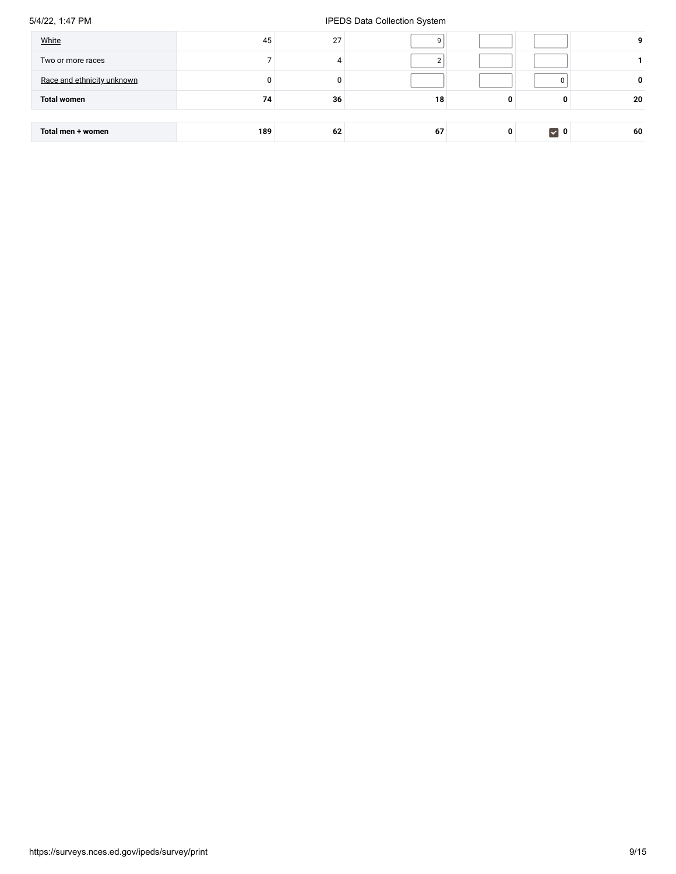# 5/4/22, 1:47 PM **IPEDS Data Collection System**

| White<br>Two or more races | 45  | 27 |    |   |                   | 9  |
|----------------------------|-----|----|----|---|-------------------|----|
| Race and ethnicity unknown |     |    |    |   |                   | 0  |
| <b>Total women</b>         | 74  | 36 | 18 | 0 | 0                 | 20 |
|                            |     |    |    |   |                   |    |
| Total men + women          | 189 | 62 | 67 | 0 | $\triangledown$ 0 | 60 |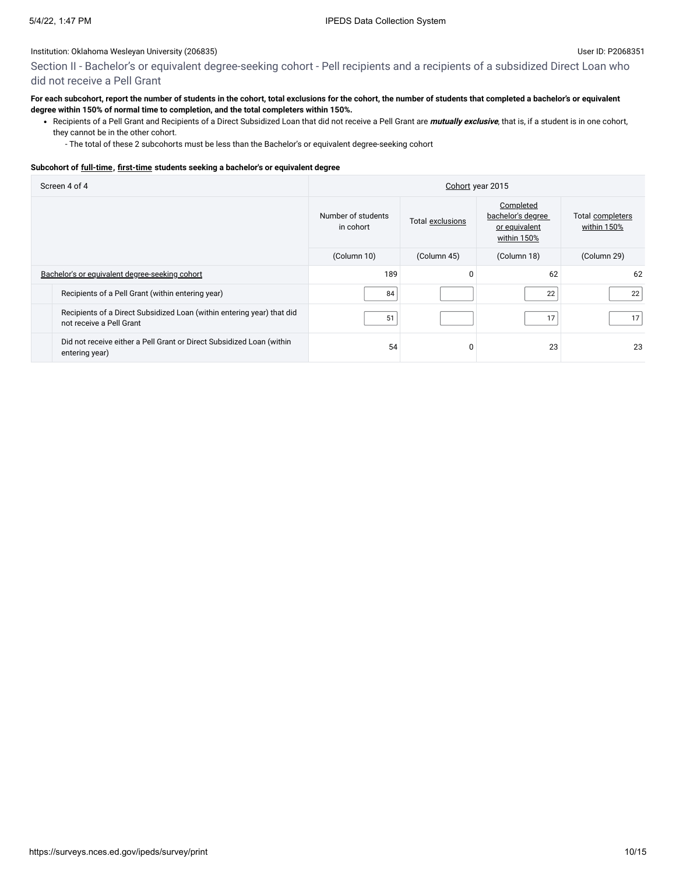Section II - Bachelor's or equivalent degree-seeking cohort - Pell recipients and a recipients of a subsidized Direct Loan who did not receive a Pell Grant

# **For each subcohort, report the number of students in the cohort, total exclusions for the cohort, the number of students that completed a bachelor's or equivalent degree within 150% of normal time to completion, and the total completers within 150%.**

Recipients of a Pell Grant and Recipients of a Direct Subsidized Loan that did not receive a Pell Grant are **mutually exclusive**, that is, if a student is in one cohort, they cannot be in the other cohort.

- The total of these 2 subcohorts must be less than the Bachelor's or equivalent degree-seeking cohort

# **Subcohort of [full-time](javascript:openglossary(259)), [first-time](javascript:openglossary(241)) students seeking a bachelor's or equivalent degree**

| Screen 4 of 4 |                                                                                                    | Cohort year 2015                |                  |                                                                |                                 |  |
|---------------|----------------------------------------------------------------------------------------------------|---------------------------------|------------------|----------------------------------------------------------------|---------------------------------|--|
|               |                                                                                                    | Number of students<br>in cohort | Total exclusions | Completed<br>bachelor's degree<br>or equivalent<br>within 150% | Total completers<br>within 150% |  |
|               |                                                                                                    | (Column 10)                     | (Column 45)      | (Column 18)                                                    | (Column 29)                     |  |
|               | Bachelor's or equivalent degree-seeking cohort                                                     | 189                             | 0                | 62                                                             | 62                              |  |
|               | Recipients of a Pell Grant (within entering year)                                                  | 84                              |                  | 22                                                             | 22                              |  |
|               | Recipients of a Direct Subsidized Loan (within entering year) that did<br>not receive a Pell Grant | 51                              |                  | 17                                                             | 17                              |  |
|               | Did not receive either a Pell Grant or Direct Subsidized Loan (within<br>entering year)            | 54                              | 0                | 23                                                             | 23                              |  |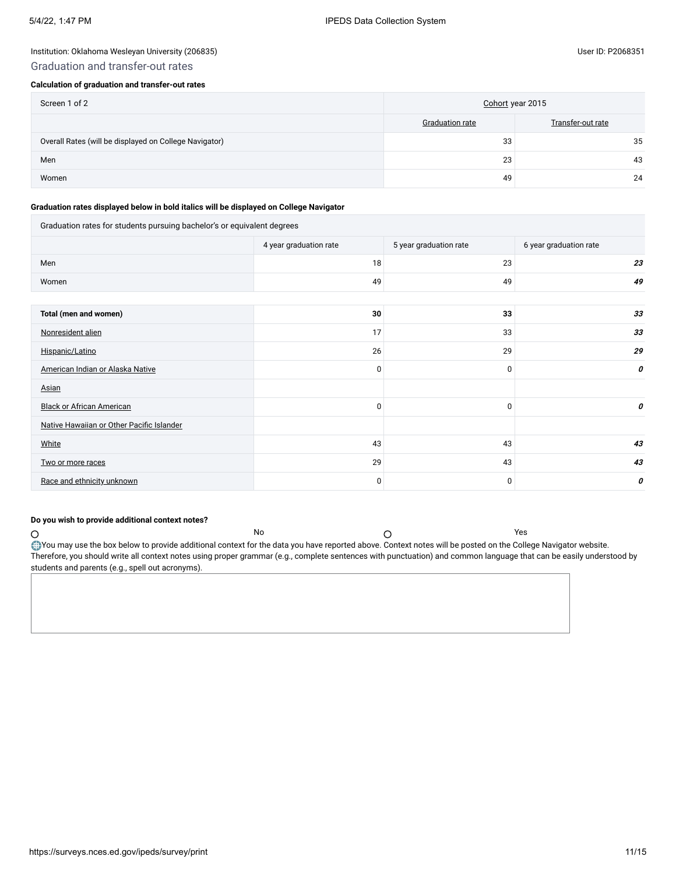# Institution: Oklahoma Wesleyan University (206835) User ID: P2068351 Graduation and transfer-out rates

# **Calculation of graduation and transfer-out rates**

| Screen 1 of 2                                          | Cohort year 2015       |                   |
|--------------------------------------------------------|------------------------|-------------------|
|                                                        | <b>Graduation rate</b> | Transfer-out rate |
| Overall Rates (will be displayed on College Navigator) | 33                     | 35                |
| Men                                                    | 23                     | 43                |
| Women                                                  | 49                     | 24                |

#### **Graduation rates displayed below in bold italics will be displayed on College Navigator**

| Graduation rates for students pursuing bachelor's or equivalent degrees |                        |                        |                        |
|-------------------------------------------------------------------------|------------------------|------------------------|------------------------|
|                                                                         | 4 year graduation rate | 5 year graduation rate | 6 year graduation rate |
| Men                                                                     | 18                     | 23                     | 23                     |
| Women                                                                   | 49                     | 49                     | 49                     |
|                                                                         |                        |                        |                        |
| Total (men and women)                                                   | 30                     | 33                     | 33                     |
| Nonresident alien                                                       | 17                     | 33                     | 33                     |
| Hispanic/Latino                                                         | 26                     | 29                     | 29                     |
| American Indian or Alaska Native                                        | 0                      | $\mathbf 0$            | 0                      |
| Asian                                                                   |                        |                        |                        |
| <b>Black or African American</b>                                        | 0                      | 0                      | 0                      |
| Native Hawaiian or Other Pacific Islander                               |                        |                        |                        |
| White                                                                   | 43                     | 43                     | 43                     |
| Two or more races                                                       | 29                     | 43                     | 43                     |
| Race and ethnicity unknown                                              | 0                      | 0                      | 0                      |

# **Do you wish to provide additional context notes?**

No  $\bigcap$ You may use the box below to provide additional context for the data you have reported above. Context notes will be posted on the College Navigator website. Therefore, you should write all context notes using proper grammar (e.g., complete sentences with punctuation) and common language that can be easily understood by students and parents (e.g., spell out acronyms).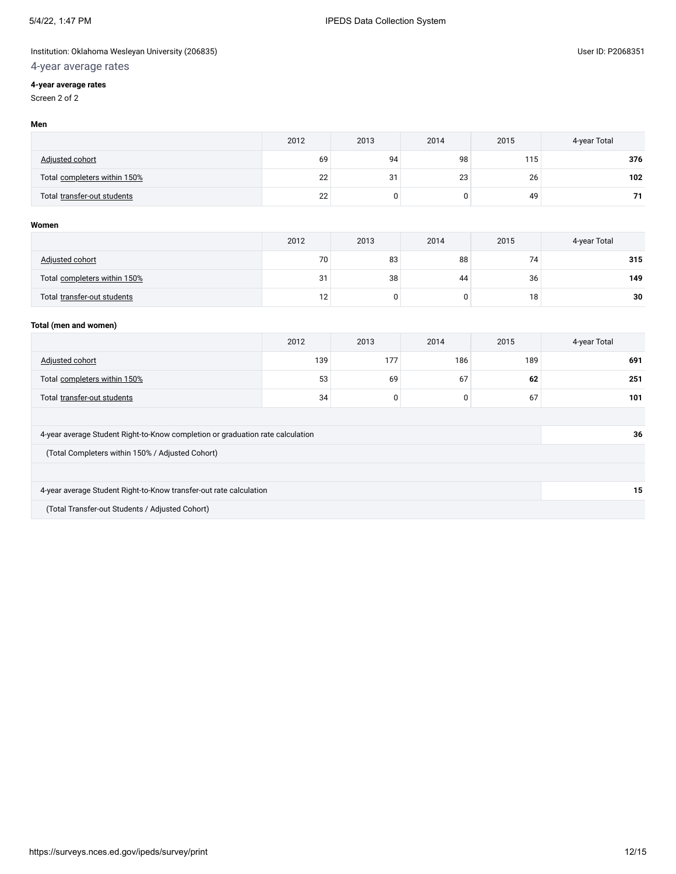# Institution: Oklahoma Wesleyan University (206835) **West Accord 2008** User ID: P2068351

# 4-year average rates

# **4-year average rates**

Screen 2 of 2

|                              | 2012 | 2013 | 2014 | 2015             | 4-year Total |
|------------------------------|------|------|------|------------------|--------------|
| Adjusted cohort              | 69   | 94   | 98   | 115 <sub>1</sub> | 376          |
| Total completers within 150% | 22   | 31   | 23   | 26               | 102          |
| Total transfer-out students  | 22   |      |      | 49               | 71           |

# **Women**

|                              | 2012 | 2013 | 2014 | 2015 | 4-year Total |
|------------------------------|------|------|------|------|--------------|
| Adjusted cohort              | 70   | 83   | 88   | 74   | 315          |
| Total completers within 150% | 31   | 38   | 44   | 36   | 149          |
| Total transfer-out students  | 12   |      |      | 18   | 30           |

# **Total (men and women)**

|                                                                                | 2012 | 2013 | 2014 | 2015 | 4-year Total |
|--------------------------------------------------------------------------------|------|------|------|------|--------------|
| Adjusted cohort                                                                | 139  | 177  | 186  | 189  | 691          |
| Total completers within 150%                                                   | 53   | 69   | 67   | 62   | 251          |
| Total transfer-out students                                                    | 34   | 0    | 0    | 67   | 101          |
|                                                                                |      |      |      |      |              |
| 4-year average Student Right-to-Know completion or graduation rate calculation |      |      |      |      | 36           |
| (Total Completers within 150% / Adjusted Cohort)                               |      |      |      |      |              |
|                                                                                |      |      |      |      |              |
| 4-year average Student Right-to-Know transfer-out rate calculation             |      |      |      |      | 15           |
| (Total Transfer-out Students / Adjusted Cohort)                                |      |      |      |      |              |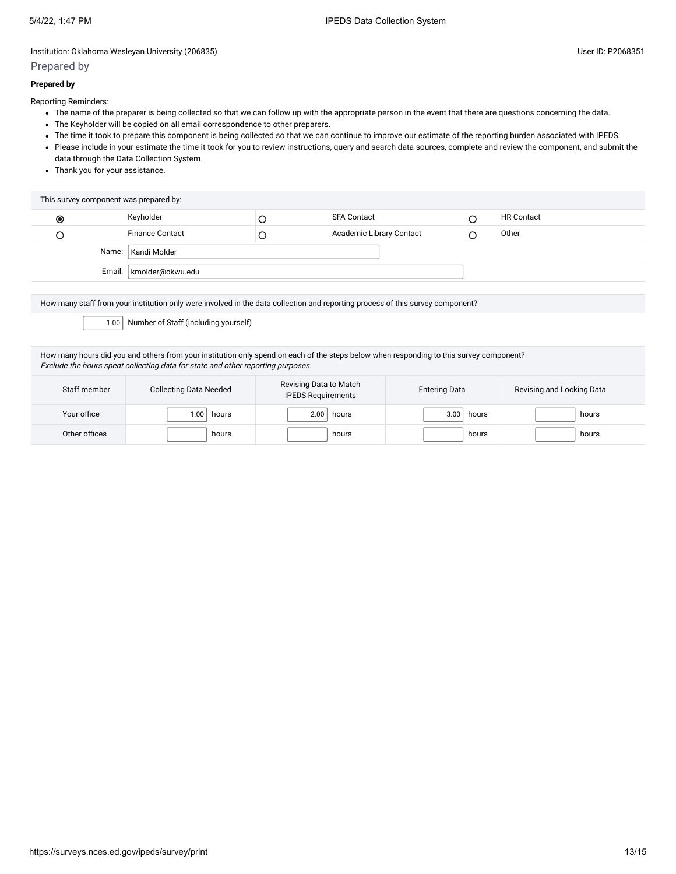# Prepared by

# **Prepared by**

Reporting Reminders:

- The name of the preparer is being collected so that we can follow up with the appropriate person in the event that there are questions concerning the data.
- The Keyholder will be copied on all email correspondence to other preparers.
- The time it took to prepare this component is being collected so that we can continue to improve our estimate of the reporting burden associated with IPEDS.
- Please include in your estimate the time it took for you to review instructions, query and search data sources, complete and review the component, and submit the data through the Data Collection System.
- Thank you for your assistance.

|            | This survey component was prepared by: |                          |                   |
|------------|----------------------------------------|--------------------------|-------------------|
| $_{\odot}$ | Keyholder                              | <b>SFA Contact</b>       | <b>HR Contact</b> |
|            | <b>Finance Contact</b>                 | Academic Library Contact | Other             |
|            | Name:   Kandi Molder                   |                          |                   |
|            | Email:   kmolder@okwu.edu              |                          |                   |
|            |                                        |                          |                   |

How many staff from your institution only were involved in the data collection and reporting process of this survey component?

1.00 Number of Staff (including yourself)

How many hours did you and others from your institution only spend on each of the steps below when responding to this survey component? Exclude the hours spent collecting data for state and other reporting purposes.

| Staff member  | <b>Collecting Data Needed</b> | Revising Data to Match<br><b>IPEDS Requirements</b> | <b>Entering Data</b> | Revising and Locking Data |
|---------------|-------------------------------|-----------------------------------------------------|----------------------|---------------------------|
| Your office   | .00<br>hours                  | hours<br>2.00                                       | hours<br>3.00        | hours                     |
| Other offices | hours                         | hours                                               | hours                | hours                     |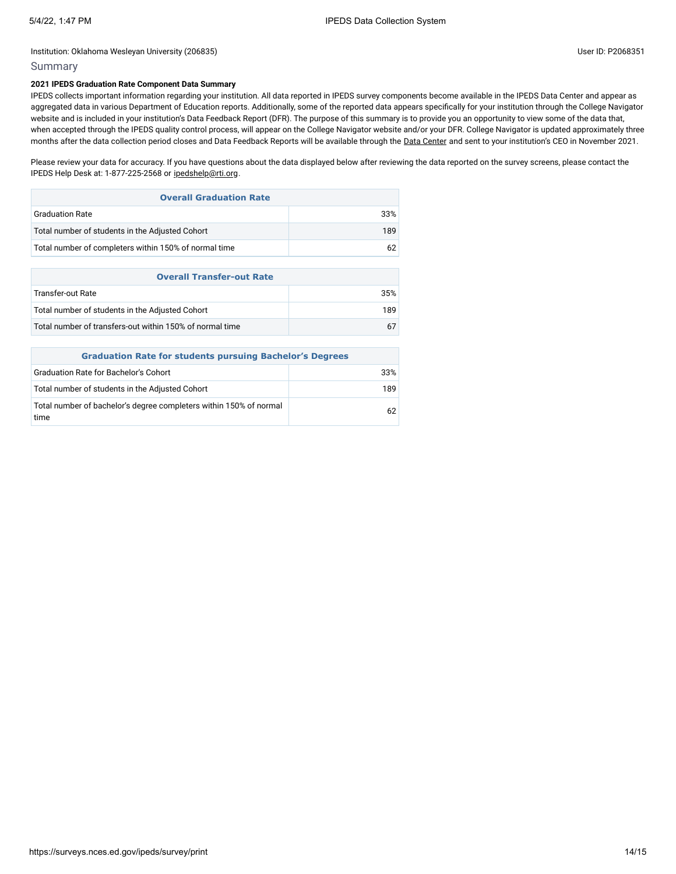# Summary

# **2021 IPEDS Graduation Rate Component Data Summary**

IPEDS collects important information regarding your institution. All data reported in IPEDS survey components become available in the IPEDS Data Center and appear as aggregated data in various Department of Education reports. Additionally, some of the reported data appears specifically for your institution through the College Navigator website and is included in your institution's Data Feedback Report (DFR). The purpose of this summary is to provide you an opportunity to view some of the data that, when accepted through the IPEDS quality control process, will appear on the College Navigator website and/or your DFR. College Navigator is updated approximately three months after the data collection period closes and Data Feedback Reports will be available through the Data [Center](https://nces.ed.gov/ipeds/use-the-data) and sent to your institution's CEO in November 2021.

Please review your data for accuracy. If you have questions about the data displayed below after reviewing the data reported on the survey screens, please contact the IPEDS Help Desk at: 1-877-225-2568 or [ipedshelp@rti.org.](mailto:ipedshelp@rti.org)

| <b>Overall Graduation Rate</b>                           |     |
|----------------------------------------------------------|-----|
| <b>Graduation Rate</b>                                   | 33% |
| Total number of students in the Adjusted Cohort          | 189 |
| Total number of completers within 150% of normal time    | 62  |
|                                                          |     |
|                                                          |     |
| <b>Overall Transfer-out Rate</b>                         |     |
| <b>Transfer-out Rate</b>                                 | 35% |
| Total number of students in the Adjusted Cohort          | 189 |
| Total number of transfers-out within 150% of normal time | 67  |

| <b>Graduation Rate for students pursuing Bachelor's Degrees</b>            |     |  |  |  |
|----------------------------------------------------------------------------|-----|--|--|--|
| <b>Graduation Rate for Bachelor's Cohort</b>                               | 33% |  |  |  |
| Total number of students in the Adjusted Cohort                            | 189 |  |  |  |
| Total number of bachelor's degree completers within 150% of normal<br>time | 62  |  |  |  |